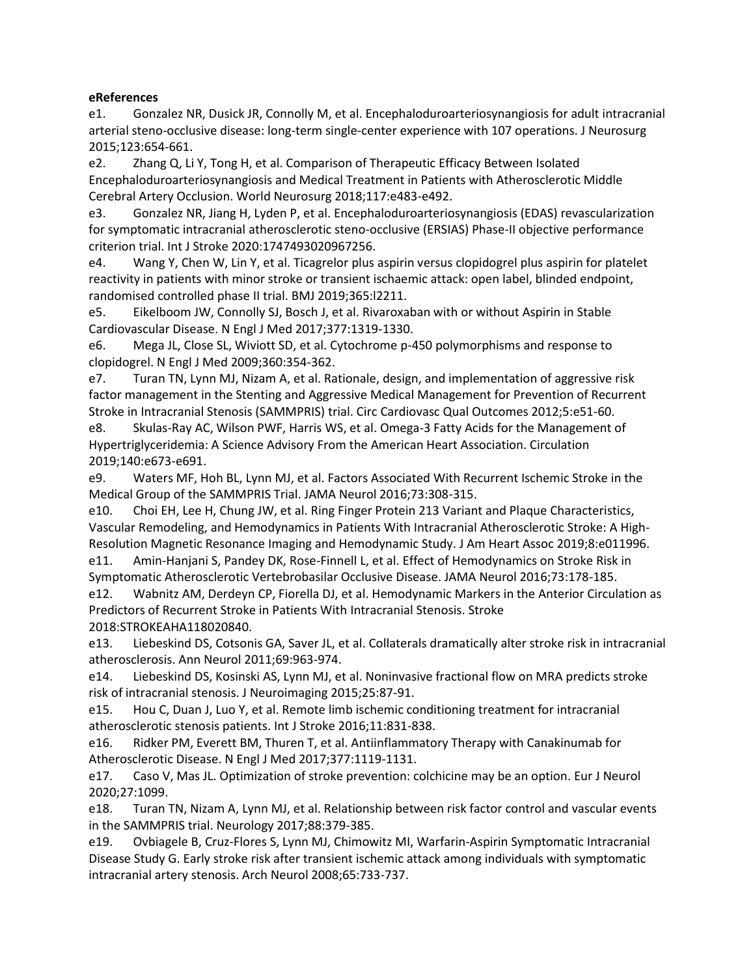## **eReferences**

e1. Gonzalez NR, Dusick JR, Connolly M, et al. Encephaloduroarteriosynangiosis for adult intracranial arterial steno-occlusive disease: long-term single-center experience with 107 operations. J Neurosurg 2015;123:654-661.

e2. Zhang Q, Li Y, Tong H, et al. Comparison of Therapeutic Efficacy Between Isolated Encephaloduroarteriosynangiosis and Medical Treatment in Patients with Atherosclerotic Middle Cerebral Artery Occlusion. World Neurosurg 2018;117:e483-e492.

e3. Gonzalez NR, Jiang H, Lyden P, et al. Encephaloduroarteriosynangiosis (EDAS) revascularization for symptomatic intracranial atherosclerotic steno-occlusive (ERSIAS) Phase-II objective performance criterion trial. Int J Stroke 2020:1747493020967256.

e4. Wang Y, Chen W, Lin Y, et al. Ticagrelor plus aspirin versus clopidogrel plus aspirin for platelet reactivity in patients with minor stroke or transient ischaemic attack: open label, blinded endpoint, randomised controlled phase II trial. BMJ 2019;365:l2211.

e5. Eikelboom JW, Connolly SJ, Bosch J, et al. Rivaroxaban with or without Aspirin in Stable Cardiovascular Disease. N Engl J Med 2017;377:1319-1330.

e6. Mega JL, Close SL, Wiviott SD, et al. Cytochrome p-450 polymorphisms and response to clopidogrel. N Engl J Med 2009;360:354-362.

e7. Turan TN, Lynn MJ, Nizam A, et al. Rationale, design, and implementation of aggressive risk factor management in the Stenting and Aggressive Medical Management for Prevention of Recurrent Stroke in Intracranial Stenosis (SAMMPRIS) trial. Circ Cardiovasc Qual Outcomes 2012;5:e51-60.

e8. Skulas-Ray AC, Wilson PWF, Harris WS, et al. Omega-3 Fatty Acids for the Management of Hypertriglyceridemia: A Science Advisory From the American Heart Association. Circulation 2019;140:e673-e691.

e9. Waters MF, Hoh BL, Lynn MJ, et al. Factors Associated With Recurrent Ischemic Stroke in the Medical Group of the SAMMPRIS Trial. JAMA Neurol 2016;73:308-315.

e10. Choi EH, Lee H, Chung JW, et al. Ring Finger Protein 213 Variant and Plaque Characteristics, Vascular Remodeling, and Hemodynamics in Patients With Intracranial Atherosclerotic Stroke: A High-Resolution Magnetic Resonance Imaging and Hemodynamic Study. J Am Heart Assoc 2019;8:e011996.

e11. Amin-Hanjani S, Pandey DK, Rose-Finnell L, et al. Effect of Hemodynamics on Stroke Risk in Symptomatic Atherosclerotic Vertebrobasilar Occlusive Disease. JAMA Neurol 2016;73:178-185.

e12. Wabnitz AM, Derdeyn CP, Fiorella DJ, et al. Hemodynamic Markers in the Anterior Circulation as Predictors of Recurrent Stroke in Patients With Intracranial Stenosis. Stroke 2018:STROKEAHA118020840.

e13. Liebeskind DS, Cotsonis GA, Saver JL, et al. Collaterals dramatically alter stroke risk in intracranial atherosclerosis. Ann Neurol 2011;69:963-974.

e14. Liebeskind DS, Kosinski AS, Lynn MJ, et al. Noninvasive fractional flow on MRA predicts stroke risk of intracranial stenosis. J Neuroimaging 2015;25:87-91.

e15. Hou C, Duan J, Luo Y, et al. Remote limb ischemic conditioning treatment for intracranial atherosclerotic stenosis patients. Int J Stroke 2016;11:831-838.

e16. Ridker PM, Everett BM, Thuren T, et al. Antiinflammatory Therapy with Canakinumab for Atherosclerotic Disease. N Engl J Med 2017;377:1119-1131.

e17. Caso V, Mas JL. Optimization of stroke prevention: colchicine may be an option. Eur J Neurol 2020;27:1099.

e18. Turan TN, Nizam A, Lynn MJ, et al. Relationship between risk factor control and vascular events in the SAMMPRIS trial. Neurology 2017;88:379-385.

e19. Ovbiagele B, Cruz-Flores S, Lynn MJ, Chimowitz MI, Warfarin-Aspirin Symptomatic Intracranial Disease Study G. Early stroke risk after transient ischemic attack among individuals with symptomatic intracranial artery stenosis. Arch Neurol 2008;65:733-737.